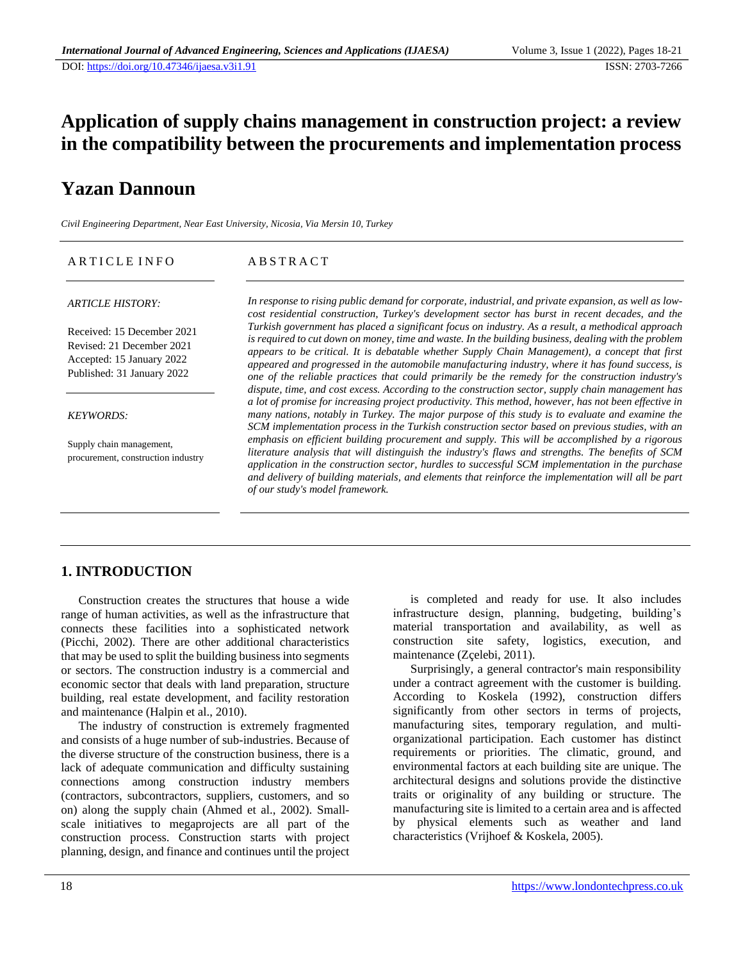## **Application of supply chains management in construction project: a review in the compatibility between the procurements and implementation process**

# **Yazan Dannoun**

*Civil Engineering Department, Near East University, Nicosia, Via Mersin 10, Turkey*

| ARTICLE INFO                                                                                                       | <b>ABSTRACT</b>                                                                                                                                                                                                                                                                                                                                                                                                                                                                                                                                                                                                          |
|--------------------------------------------------------------------------------------------------------------------|--------------------------------------------------------------------------------------------------------------------------------------------------------------------------------------------------------------------------------------------------------------------------------------------------------------------------------------------------------------------------------------------------------------------------------------------------------------------------------------------------------------------------------------------------------------------------------------------------------------------------|
| <b>ARTICLE HISTORY:</b>                                                                                            | In response to rising public demand for corporate, industrial, and private expansion, as well as low-<br>cost residential construction, Turkey's development sector has burst in recent decades, and the                                                                                                                                                                                                                                                                                                                                                                                                                 |
| Received: 15 December 2021<br>Revised: 21 December 2021<br>Accepted: 15 January 2022<br>Published: 31 January 2022 | Turkish government has placed a significant focus on industry. As a result, a methodical approach<br>is required to cut down on money, time and waste. In the building business, dealing with the problem<br>appears to be critical. It is debatable whether Supply Chain Management), a concept that first<br>appeared and progressed in the automobile manufacturing industry, where it has found success, is<br>one of the reliable practices that could primarily be the remedy for the construction industry's<br>dispute, time, and cost excess. According to the construction sector, supply chain management has |
| <b>KEYWORDS:</b>                                                                                                   | a lot of promise for increasing project productivity. This method, however, has not been effective in<br>many nations, notably in Turkey. The major purpose of this study is to evaluate and examine the<br>SCM implementation process in the Turkish construction sector based on previous studies, with an                                                                                                                                                                                                                                                                                                             |
| Supply chain management,<br>procurement, construction industry                                                     | emphasis on efficient building procurement and supply. This will be accomplished by a rigorous<br>literature analysis that will distinguish the industry's flaws and strengths. The benefits of SCM<br>application in the construction sector, hurdles to successful SCM implementation in the purchase<br>and delivery of building materials, and elements that reinforce the implementation will all be part<br>of our study's model framework.                                                                                                                                                                        |

### **1. INTRODUCTION**

Construction creates the structures that house a wide range of human activities, as well as the infrastructure that connects these facilities into a sophisticated network (Picchi, 2002). There are other additional characteristics that may be used to split the building business into segments or sectors. The construction industry is a commercial and economic sector that deals with land preparation, structure building, real estate development, and facility restoration and maintenance (Halpin et al., 2010).

The industry of construction is extremely fragmented and consists of a huge number of sub-industries. Because of the diverse structure of the construction business, there is a lack of adequate communication and difficulty sustaining connections among construction industry members (contractors, subcontractors, suppliers, customers, and so on) along the supply chain (Ahmed et al., 2002). Smallscale initiatives to megaprojects are all part of the construction process. Construction starts with project planning, design, and finance and continues until the project

is completed and ready for use. It also includes infrastructure design, planning, budgeting, building's material transportation and availability, as well as construction site safety, logistics, execution, and maintenance (Zçelebi, 2011).

Surprisingly, a general contractor's main responsibility under a contract agreement with the customer is building. According to Koskela (1992), construction differs significantly from other sectors in terms of projects, manufacturing sites, temporary regulation, and multiorganizational participation. Each customer has distinct requirements or priorities. The climatic, ground, and environmental factors at each building site are unique. The architectural designs and solutions provide the distinctive traits or originality of any building or structure. The manufacturing site is limited to a certain area and is affected by physical elements such as weather and land characteristics (Vrijhoef & Koskela, 2005).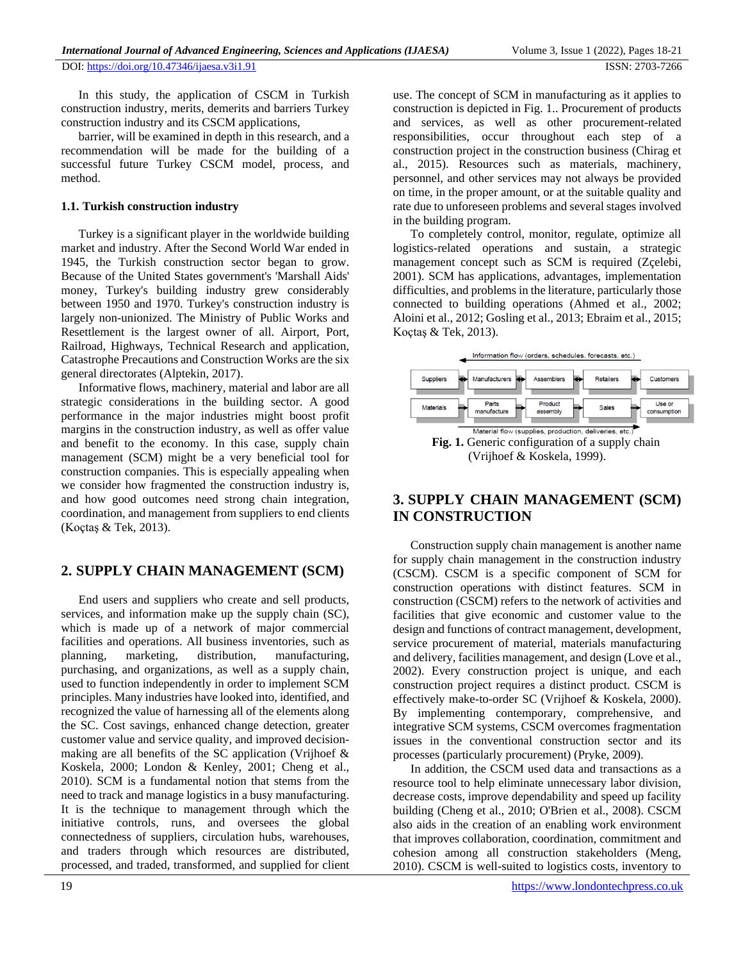In this study, the application of CSCM in Turkish construction industry, merits, demerits and barriers Turkey construction industry and its CSCM applications,

barrier, will be examined in depth in this research, and a recommendation will be made for the building of a successful future Turkey CSCM model, process, and method.

#### **1.1. Turkish construction industry**

Turkey is a significant player in the worldwide building market and industry. After the Second World War ended in 1945, the Turkish construction sector began to grow. Because of the United States government's 'Marshall Aids' money, Turkey's building industry grew considerably between 1950 and 1970. Turkey's construction industry is largely non-unionized. The Ministry of Public Works and Resettlement is the largest owner of all. Airport, Port, Railroad, Highways, Technical Research and application, Catastrophe Precautions and Construction Works are the six general directorates (Alptekin, 2017).

Informative flows, machinery, material and labor are all strategic considerations in the building sector. A good performance in the major industries might boost profit margins in the construction industry, as well as offer value and benefit to the economy. In this case, supply chain management (SCM) might be a very beneficial tool for construction companies. This is especially appealing when we consider how fragmented the construction industry is, and how good outcomes need strong chain integration, coordination, and management from suppliers to end clients (Koçtaş & Tek, 2013).

### **2. SUPPLY CHAIN MANAGEMENT (SCM)**

End users and suppliers who create and sell products, services, and information make up the supply chain (SC), which is made up of a network of major commercial facilities and operations. All business inventories, such as planning, marketing, distribution, manufacturing, purchasing, and organizations, as well as a supply chain, used to function independently in order to implement SCM principles. Many industries have looked into, identified, and recognized the value of harnessing all of the elements along the SC. Cost savings, enhanced change detection, greater customer value and service quality, and improved decisionmaking are all benefits of the SC application (Vrijhoef & Koskela, 2000; London & Kenley, 2001; Cheng et al., 2010). SCM is a fundamental notion that stems from the need to track and manage logistics in a busy manufacturing. It is the technique to management through which the initiative controls, runs, and oversees the global connectedness of suppliers, circulation hubs, warehouses, and traders through which resources are distributed, processed, and traded, transformed, and supplied for client

use. The concept of SCM in manufacturing as it applies to construction is depicted in Fig. 1.. Procurement of products and services, as well as other procurement-related responsibilities, occur throughout each step of a construction project in the construction business (Chirag et al., 2015). Resources such as materials, machinery, personnel, and other services may not always be provided on time, in the proper amount, or at the suitable quality and rate due to unforeseen problems and several stages involved in the building program.

To completely control, monitor, regulate, optimize all logistics-related operations and sustain, a strategic management concept such as SCM is required (Zçelebi, 2001). SCM has applications, advantages, implementation difficulties, and problems in the literature, particularly those connected to building operations (Ahmed et al., 2002; Aloini et al., 2012; Gosling et al., 2013; Ebraim et al., 2015; Koçtaş & Tek, 2013).



## **3. SUPPLY CHAIN MANAGEMENT (SCM) IN CONSTRUCTION**

Construction supply chain management is another name for supply chain management in the construction industry (CSCM). CSCM is a specific component of SCM for construction operations with distinct features. SCM in construction (CSCM) refers to the network of activities and facilities that give economic and customer value to the design and functions of contract management, development, service procurement of material, materials manufacturing and delivery, facilities management, and design (Love et al., 2002). Every construction project is unique, and each construction project requires a distinct product. CSCM is effectively make-to-order SC (Vrijhoef & Koskela, 2000). By implementing contemporary, comprehensive, and integrative SCM systems, CSCM overcomes fragmentation issues in the conventional construction sector and its processes (particularly procurement) (Pryke, 2009).

In addition, the CSCM used data and transactions as a resource tool to help eliminate unnecessary labor division, decrease costs, improve dependability and speed up facility building (Cheng et al., 2010; O'Brien et al., 2008). CSCM also aids in the creation of an enabling work environment that improves collaboration, coordination, commitment and cohesion among all construction stakeholders (Meng, 2010). CSCM is well-suited to logistics costs, inventory to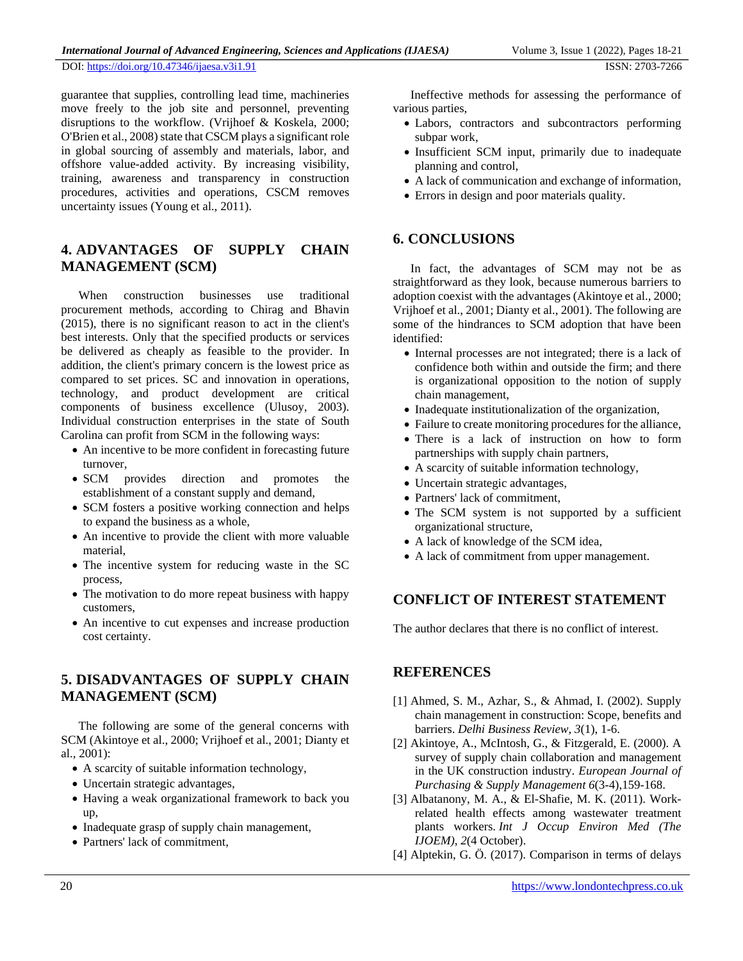guarantee that supplies, controlling lead time, machineries move freely to the job site and personnel, preventing disruptions to the workflow. (Vrijhoef & Koskela, 2000; O'Brien et al., 2008) state that CSCM plays a significant role in global sourcing of assembly and materials, labor, and offshore value-added activity. By increasing visibility, training, awareness and transparency in construction procedures, activities and operations, CSCM removes uncertainty issues (Young et al., 2011).

### **4. ADVANTAGES OF SUPPLY CHAIN MANAGEMENT (SCM)**

When construction businesses use traditional procurement methods, according to Chirag and Bhavin (2015), there is no significant reason to act in the client's best interests. Only that the specified products or services be delivered as cheaply as feasible to the provider. In addition, the client's primary concern is the lowest price as compared to set prices. SC and innovation in operations, technology, and product development are critical components of business excellence (Ulusoy, 2003). Individual construction enterprises in the state of South Carolina can profit from SCM in the following ways:

- An incentive to be more confident in forecasting future turnover,
- SCM provides direction and promotes the establishment of a constant supply and demand,
- SCM fosters a positive working connection and helps to expand the business as a whole,
- An incentive to provide the client with more valuable material,
- The incentive system for reducing waste in the SC process,
- The motivation to do more repeat business with happy customers,
- An incentive to cut expenses and increase production cost certainty.

### **5. DISADVANTAGES OF SUPPLY CHAIN MANAGEMENT (SCM)**

The following are some of the general concerns with SCM (Akintoye et al., 2000; Vrijhoef et al., 2001; Dianty et al., 2001):

- A scarcity of suitable information technology,
- Uncertain strategic advantages,
- Having a weak organizational framework to back you up,
- Inadequate grasp of supply chain management,
- Partners' lack of commitment,

Ineffective methods for assessing the performance of various parties,

- Labors, contractors and subcontractors performing subpar work,
- Insufficient SCM input, primarily due to inadequate planning and control,
- A lack of communication and exchange of information,
- Errors in design and poor materials quality.

#### **6. CONCLUSIONS**

In fact, the advantages of SCM may not be as straightforward as they look, because numerous barriers to adoption coexist with the advantages (Akintoye et al., 2000; Vrijhoef et al., 2001; Dianty et al., 2001). The following are some of the hindrances to SCM adoption that have been identified:

- Internal processes are not integrated; there is a lack of confidence both within and outside the firm; and there is organizational opposition to the notion of supply chain management,
- Inadequate institutionalization of the organization,
- Failure to create monitoring procedures for the alliance,
- There is a lack of instruction on how to form partnerships with supply chain partners,
- A scarcity of suitable information technology,
- Uncertain strategic advantages,
- Partners' lack of commitment,
- The SCM system is not supported by a sufficient organizational structure,
- A lack of knowledge of the SCM idea,
- A lack of commitment from upper management.

### **CONFLICT OF INTEREST STATEMENT**

The author declares that there is no conflict of interest.

#### **REFERENCES**

- [1] Ahmed, S. M., Azhar, S., & Ahmad, I. (2002). Supply chain management in construction: Scope, benefits and barriers. *Delhi Business Review*, *3*(1), 1-6.
- [2] Akintoye, A., McIntosh, G., & Fitzgerald, E. (2000). A survey of supply chain collaboration and management in the UK construction industry. *European Journal of Purchasing & Supply Management 6*(3-4),159-168.
- [3] Albatanony, M. A., & El-Shafie, M. K. (2011). Workrelated health effects among wastewater treatment plants workers. *Int J Occup Environ Med (The IJOEM)*, *2*(4 October).
- [4] Alptekin, G. Ö. (2017). Comparison in terms of delays